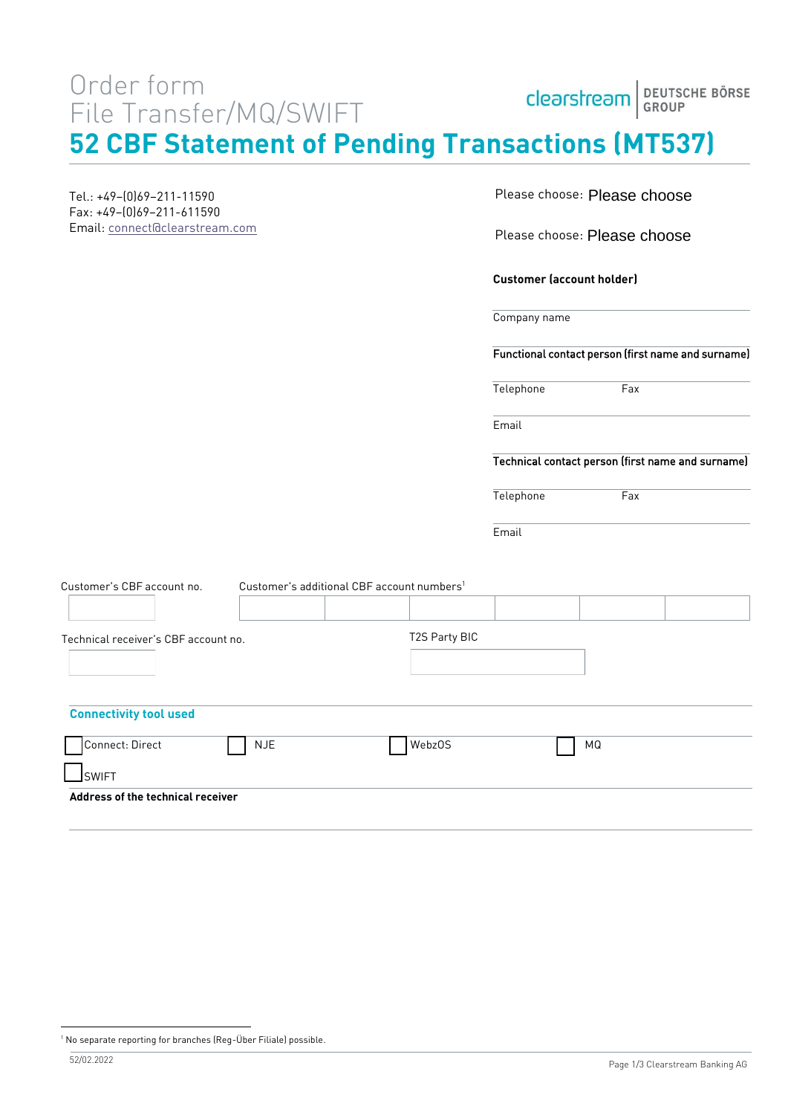# Order form File Transfer/MQ/SWIFT

| Clearstream BEUTSCHE BÖRSE |  |
|----------------------------|--|
|                            |  |

**52 CBF Statement of Pending Transactions (MT537)**

Tel.: +49–(0)69–211-11590 Fax: +49–(0)69–211-611590 Email: [connect@clearstream.com](mailto:connect@clearstream.com) Please choose: Please choose

Please choose: Please choose

**Customer (account holder)**

Telephone Fax

Company name

Functional contact person (first name and surname)

 $Fax$ 

| Telephone |  |  |  |  |  |
|-----------|--|--|--|--|--|
|-----------|--|--|--|--|--|

Email

Technical contact person (first name and surname)

**Email** 

| Customer's CBF account no.           | Customer's additional CBF account numbers <sup>1</sup> |               |    |  |
|--------------------------------------|--------------------------------------------------------|---------------|----|--|
|                                      |                                                        |               |    |  |
| Technical receiver's CBF account no. |                                                        | T2S Party BIC |    |  |
|                                      |                                                        |               |    |  |
|                                      |                                                        |               |    |  |
| <b>Connectivity tool used</b>        |                                                        |               |    |  |
| Connect: Direct                      | <b>NJE</b>                                             | WebzOS        | ΜQ |  |
| $\sqcup$ SWIFT                       |                                                        |               |    |  |
| Address of the technical receiver    |                                                        |               |    |  |
|                                      |                                                        |               |    |  |

<sup>&</sup>lt;sup>1</sup> No separate reporting for branches (Reg-Über Filiale) possible.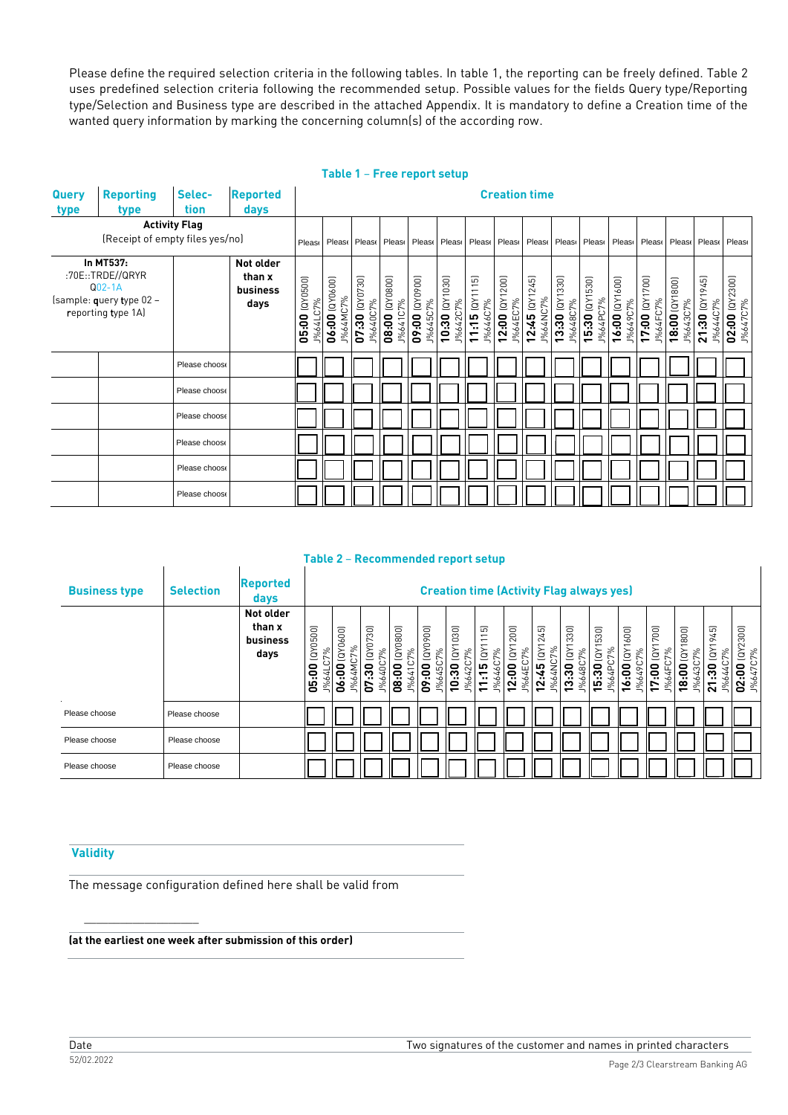Please define the required selection criteria in the following tables. In table 1, the reporting can be freely defined. Table 2 uses predefined selection criteria following the recommended setup. Possible values for the fields Query type/Reporting type/Selection and Business type are described in the attached Appendix. It is mandatory to define a Creation time of the wanted query information by marking the concerning column(s) of the according row.

|                                 | Table 1 – Free report setup                    |                      |                 |                            |                            |                                           |                            |                |                                   |                                |                               |                              |                           |                            |                            |                            |                            |                            |                            |
|---------------------------------|------------------------------------------------|----------------------|-----------------|----------------------------|----------------------------|-------------------------------------------|----------------------------|----------------|-----------------------------------|--------------------------------|-------------------------------|------------------------------|---------------------------|----------------------------|----------------------------|----------------------------|----------------------------|----------------------------|----------------------------|
| <b>Query</b>                    | <b>Reporting</b>                               | Selec-               | <b>Reported</b> |                            | <b>Creation time</b>       |                                           |                            |                |                                   |                                |                               |                              |                           |                            |                            |                            |                            |                            |                            |
| type                            | type                                           | tion                 | days            |                            |                            |                                           |                            |                |                                   |                                |                               |                              |                           |                            |                            |                            |                            |                            |                            |
|                                 |                                                | <b>Activity Flag</b> |                 |                            |                            |                                           |                            |                |                                   |                                |                               |                              |                           |                            |                            |                            |                            |                            |                            |
| (Receipt of empty files yes/no) |                                                |                      |                 | Please                     |                            | Please Please Please Please Please Please |                            |                |                                   |                                | Pleas Pleas Pleas Pleas Pleas |                              |                           |                            |                            | Please                     |                            | Please Please Please       |                            |
|                                 | In MT537:                                      |                      | Not older       |                            |                            |                                           |                            |                |                                   |                                |                               |                              |                           |                            |                            |                            |                            |                            |                            |
|                                 | :70E::TRDE//QRYR                               |                      | than x          |                            |                            |                                           |                            |                |                                   |                                |                               |                              |                           |                            |                            |                            |                            |                            |                            |
|                                 | $Q02-1A$                                       |                      | business        |                            |                            |                                           |                            |                |                                   |                                |                               |                              |                           |                            |                            |                            |                            |                            |                            |
|                                 | (sample: query type 02 -<br>reporting type 1A) |                      | days            |                            |                            |                                           |                            |                |                                   |                                |                               |                              |                           |                            |                            |                            |                            |                            |                            |
|                                 |                                                |                      |                 | 05:00 (QY0500)<br>J%64LC7% | 06:00 (QY0600)<br>J%64MC7% | 07:30 (QY0730)<br>J%640C7%                | 08:00 (QY0800)<br>J%641C7% | (0060XD) 00:60 |                                   | J%646C7%                       | 12:00 (QY1200)<br>1%64EC7%    | $12:45$ (QY1245)<br>1%64NC7% | 13:30 (QY1330)<br>%648C7% | 15:30 (QY1530)<br>1%64PC7% | 16:00 (QY1600)<br>J%649C7% | 17:00 (QY1700)<br>J%64FC7% | 18:00 (QY1800)<br>J%643C7% | 21:30 (QY1945)<br>J%644C7% | 02:00 (QY2300)<br>J%647C7% |
|                                 |                                                |                      |                 |                            |                            |                                           |                            |                | <b>J%645C7%</b><br>10:30 (QY1030) | $J\%642C7\%$<br>11:15 (QY1115) |                               |                              |                           |                            |                            |                            |                            |                            |                            |
|                                 |                                                | Please choose        |                 |                            |                            |                                           |                            |                |                                   |                                |                               |                              |                           |                            |                            |                            |                            |                            |                            |
|                                 |                                                | Please choose        |                 |                            |                            |                                           |                            |                |                                   |                                |                               |                              |                           |                            |                            |                            |                            |                            |                            |
|                                 |                                                | Please choose        |                 |                            |                            |                                           |                            |                |                                   |                                |                               |                              |                           |                            |                            |                            |                            |                            |                            |
|                                 |                                                | Please choose        |                 |                            |                            |                                           |                            |                |                                   |                                |                               |                              |                           |                            |                            |                            |                            |                            |                            |
|                                 |                                                | Please choose        |                 |                            |                            |                                           |                            |                |                                   |                                |                               |                              |                           |                            |                            |                            |                            |                            |                            |
|                                 |                                                | Please choose        |                 |                            |                            |                                           |                            |                |                                   |                                |                               |                              |                           |                            |                            |                            |                            |                            |                            |

#### **Table 2** – **Recommended report setup**

| <b>Business type</b> | <b>Selection</b> | <b>Reported</b><br>days                 |                                               | <b>Creation time (Activity Flag always yes)</b>   |                                                                       |                                     |                                     |                                         |                                                                                                           |                                |                                                           |                                           |                                                              |                                                                     |                                                          |                                                                        |                                                    |                                                                |
|----------------------|------------------|-----------------------------------------|-----------------------------------------------|---------------------------------------------------|-----------------------------------------------------------------------|-------------------------------------|-------------------------------------|-----------------------------------------|-----------------------------------------------------------------------------------------------------------|--------------------------------|-----------------------------------------------------------|-------------------------------------------|--------------------------------------------------------------|---------------------------------------------------------------------|----------------------------------------------------------|------------------------------------------------------------------------|----------------------------------------------------|----------------------------------------------------------------|
|                      |                  | Not older<br>than x<br>business<br>days | (0.00500)<br>C7%<br><u>ခု</u><br>1%64L<br>မ္မ | 600)<br><b>CXD</b><br>7%<br>ŹΡ<br>່ອ<br>1%6.<br>Š | $\overline{30}$<br>5<br>ē<br>7%<br>J%640C<br>ౚ<br>m<br>G <sub>7</sub> | (0.0800)<br>7%<br>∘<br>08:0<br>1%64 | (0.0600)<br>7%<br>1%645<br>9.<br>S° | (QY1030)<br>7%<br>120<br>నె<br>ë<br>%6. | $\overline{\mathfrak{w}}$<br>$\overline{ }$<br>$\overline{\phantom{0}}$<br>NQ<br>7%<br>46C<br>ഥ<br>₽<br>% | (QY1200)<br>4EC7%<br>2:00<br>% | 245)<br>(QY)<br>C7%<br>45<br>%64N<br>œ.<br>$\overline{N}$ | (QY1330)<br>7%<br>3:30<br>48C<br>1%6<br>一 | 530)<br>IAD)<br>J%64PC7%<br>5:30<br>$\overline{\phantom{0}}$ | 600)<br>ίāλ<br>7%<br>49C<br>6:00<br>1%6<br>$\overline{\phantom{0}}$ | 700)<br>$\mathfrak{S}$<br>7%<br>ຸຣຸ<br>4<br>వ్<br>r<br>↽ | 800)<br>$\tilde{\mathbf{g}}$<br>7%<br>ຸຣຸ<br>$\infty$<br>$\frac{5}{6}$ | 45)<br>$\sim$<br>$\tilde{g}$<br>7%<br>Ρç<br>$\sim$ | (QY2300)<br>:7%<br>$\circ$<br>0<br>47<br><u>ي</u><br>1%6<br>20 |
| Please choose        | Please choose    |                                         |                                               |                                                   |                                                                       |                                     |                                     |                                         |                                                                                                           |                                |                                                           |                                           |                                                              |                                                                     |                                                          |                                                                        |                                                    |                                                                |
| Please choose        | Please choose    |                                         |                                               |                                                   |                                                                       |                                     |                                     |                                         |                                                                                                           |                                |                                                           |                                           |                                                              |                                                                     |                                                          |                                                                        |                                                    |                                                                |
| Please choose        | Please choose    |                                         |                                               |                                                   |                                                                       |                                     |                                     |                                         |                                                                                                           |                                |                                                           |                                           |                                                              |                                                                     |                                                          |                                                                        |                                                    |                                                                |

### **Validity**

 $\_$ 

The message configuration defined here shall be valid from

**(at the earliest one week after submission of this order)**